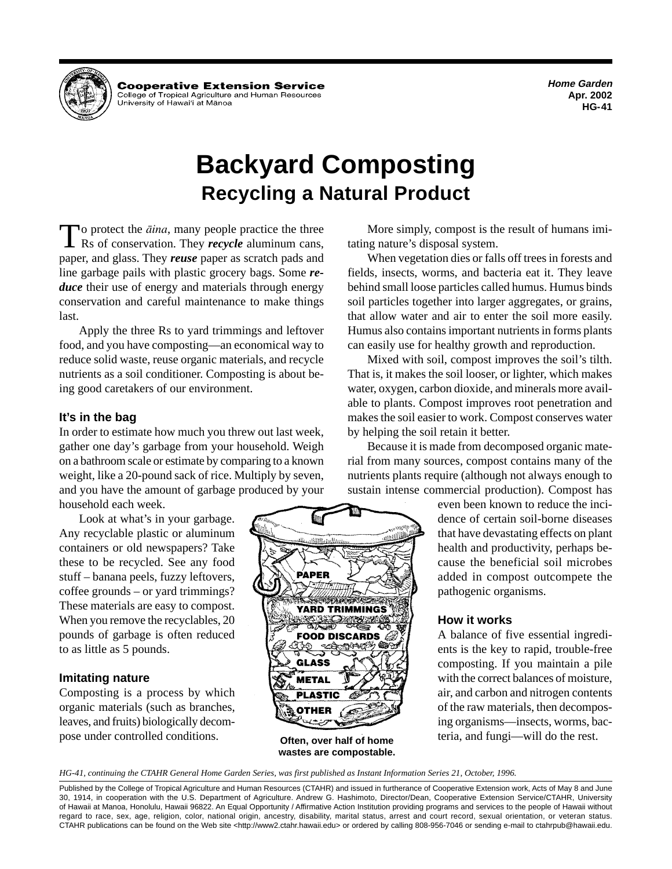**Home Garden Apr. 2002 HG-41** 



Cooperative Extension Service College of Tropical Agriculture and Human Resources University of Hawai'i at Mānoa

# **Backyard Composting Recycling a Natural Product**

To protect the *äina*, many people practice the three Rs of conservation. They *recycle* aluminum cans, paper, and glass. They *reuse* paper as scratch pads and line garbage pails with plastic grocery bags. Some *reduce* their use of energy and materials through energy conservation and careful maintenance to make things last.

Apply the three Rs to yard trimmings and leftover food, and you have composting—an economical way to reduce solid waste, reuse organic materials, and recycle nutrients as a soil conditioner. Composting is about being good caretakers of our environment.

## **It's in the bag**

In order to estimate how much you threw out last week, gather one day's garbage from your household. Weigh on a bathroom scale or estimate by comparing to a known weight, like a 20-pound sack of rice. Multiply by seven, and you have the amount of garbage produced by your household each week.

Look at what's in your garbage. Any recyclable plastic or aluminum containers or old newspapers? Take these to be recycled. See any food stuff – banana peels, fuzzy leftovers, coffee grounds – or yard trimmings? These materials are easy to compost. When you remove the recyclables, 20 pounds of garbage is often reduced to as little as 5 pounds.

## **Imitating nature**

Composting is a process by which organic materials (such as branches, leaves, and fruits) biologically decompose under controlled conditions.

م*تللسوالاالا*لا PAPER YARD TRIMMINGS **Service FOOD DISCARDS** ન્∆ **GLASS** METAL PLASTIC OTHER

**wastes are compostable.** 

More simply, compost is the result of humans imitating nature's disposal system.

When vegetation dies or falls off trees in forests and fields, insects, worms, and bacteria eat it. They leave behind small loose particles called humus. Humus binds soil particles together into larger aggregates, or grains, that allow water and air to enter the soil more easily. Humus also contains important nutrients in forms plants can easily use for healthy growth and reproduction.

Mixed with soil, compost improves the soil's tilth. That is, it makes the soil looser, or lighter, which makes water, oxygen, carbon dioxide, and minerals more available to plants. Compost improves root penetration and makes the soil easier to work. Compost conserves water by helping the soil retain it better.

Because it is made from decomposed organic material from many sources, compost contains many of the nutrients plants require (although not always enough to sustain intense commercial production). Compost has

> even been known to reduce the incidence of certain soil-borne diseases that have devastating effects on plant health and productivity, perhaps because the beneficial soil microbes added in compost outcompete the pathogenic organisms.

## **How it works**

A balance of five essential ingredients is the key to rapid, trouble-free composting. If you maintain a pile with the correct balances of moisture, air, and carbon and nitrogen contents of the raw materials, then decomposing organisms—insects, worms, bac-**Often, over half of home** teria, and fungi—will do the rest.

*HG-41, continuing the CTAHR General Home Garden Series, was first published as Instant Information Series 21, October, 1996.* 

Published by the College of Tropical Agriculture and Human Resources (CTAHR) and issued in furtherance of Cooperative Extension work, Acts of May 8 and June 30, 1914, in cooperation with the U.S. Department of Agriculture. Andrew G. Hashimoto, Director/Dean, Cooperative Extension Service/CTAHR, University of Hawaii at Manoa, Honolulu, Hawaii 96822. An Equal Opportunity / Affirmative Action Institution providing programs and services to the people of Hawaii without regard to race, sex, age, religion, color, national origin, ancestry, disability, marital status, arrest and court record, sexual orientation, or veteran status. CTAHR publications can be found on the Web site <http://www2.ctahr.hawaii.edu> or ordered by calling 808-956-7046 or sending e-mail to ctahrpub@hawaii.edu.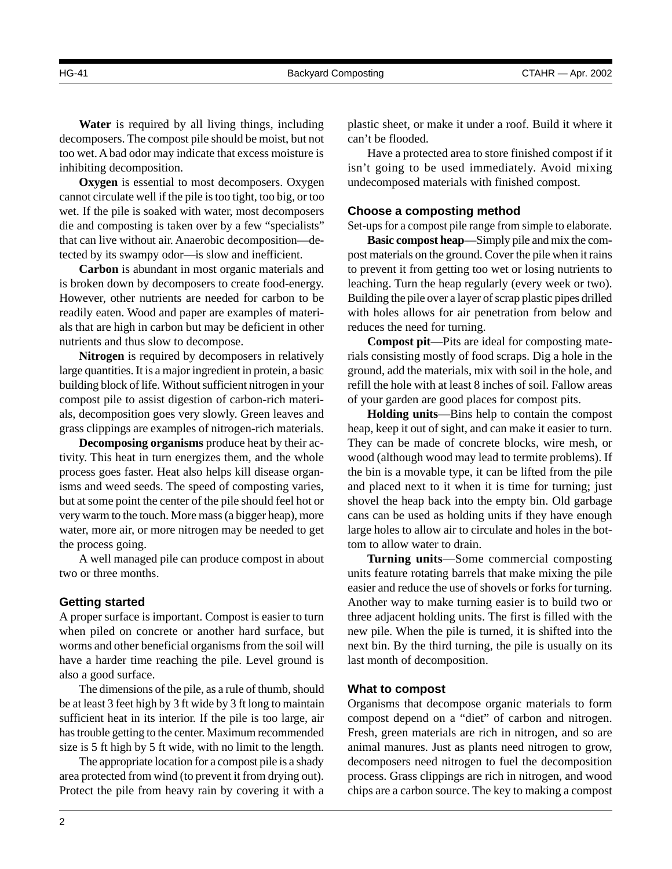HG-41 Backyard Composting CTAHR — Apr. 2002

**Water** is required by all living things, including decomposers. The compost pile should be moist, but not too wet. A bad odor may indicate that excess moisture is inhibiting decomposition.

**Oxygen** is essential to most decomposers. Oxygen cannot circulate well if the pile is too tight, too big, or too wet. If the pile is soaked with water, most decomposers die and composting is taken over by a few "specialists" that can live without air. Anaerobic decomposition—detected by its swampy odor—is slow and inefficient.

**Carbon** is abundant in most organic materials and is broken down by decomposers to create food-energy. However, other nutrients are needed for carbon to be readily eaten. Wood and paper are examples of materials that are high in carbon but may be deficient in other nutrients and thus slow to decompose.

**Nitrogen** is required by decomposers in relatively large quantities. It is a major ingredient in protein, a basic building block of life. Without sufficient nitrogen in your compost pile to assist digestion of carbon-rich materials, decomposition goes very slowly. Green leaves and grass clippings are examples of nitrogen-rich materials.

**Decomposing organisms** produce heat by their activity. This heat in turn energizes them, and the whole process goes faster. Heat also helps kill disease organisms and weed seeds. The speed of composting varies, but at some point the center of the pile should feel hot or very warm to the touch. More mass (a bigger heap), more water, more air, or more nitrogen may be needed to get the process going.

A well managed pile can produce compost in about two or three months.

## **Getting started**

A proper surface is important. Compost is easier to turn when piled on concrete or another hard surface, but worms and other beneficial organisms from the soil will have a harder time reaching the pile. Level ground is also a good surface.

The dimensions of the pile, as a rule of thumb, should be at least 3 feet high by 3 ft wide by 3 ft long to maintain sufficient heat in its interior. If the pile is too large, air has trouble getting to the center. Maximum recommended size is 5 ft high by 5 ft wide, with no limit to the length.

The appropriate location for a compost pile is a shady area protected from wind (to prevent it from drying out). Protect the pile from heavy rain by covering it with a

2

plastic sheet, or make it under a roof. Build it where it can't be flooded.

Have a protected area to store finished compost if it isn't going to be used immediately. Avoid mixing undecomposed materials with finished compost.

### **Choose a composting method**

Set-ups for a compost pile range from simple to elaborate.

**Basic compost heap**—Simply pile and mix the compost materials on the ground. Cover the pile when it rains to prevent it from getting too wet or losing nutrients to leaching. Turn the heap regularly (every week or two). Building the pile over a layer of scrap plastic pipes drilled with holes allows for air penetration from below and reduces the need for turning.

**Compost pit**—Pits are ideal for composting materials consisting mostly of food scraps. Dig a hole in the ground, add the materials, mix with soil in the hole, and refill the hole with at least 8 inches of soil. Fallow areas of your garden are good places for compost pits.

**Holding units**—Bins help to contain the compost heap, keep it out of sight, and can make it easier to turn. They can be made of concrete blocks, wire mesh, or wood (although wood may lead to termite problems). If the bin is a movable type, it can be lifted from the pile and placed next to it when it is time for turning; just shovel the heap back into the empty bin. Old garbage cans can be used as holding units if they have enough large holes to allow air to circulate and holes in the bottom to allow water to drain.

**Turning units**—Some commercial composting units feature rotating barrels that make mixing the pile easier and reduce the use of shovels or forks for turning. Another way to make turning easier is to build two or three adjacent holding units. The first is filled with the new pile. When the pile is turned, it is shifted into the next bin. By the third turning, the pile is usually on its last month of decomposition.

### **What to compost**

Organisms that decompose organic materials to form compost depend on a "diet" of carbon and nitrogen. Fresh, green materials are rich in nitrogen, and so are animal manures. Just as plants need nitrogen to grow, decomposers need nitrogen to fuel the decomposition process. Grass clippings are rich in nitrogen, and wood chips are a carbon source. The key to making a compost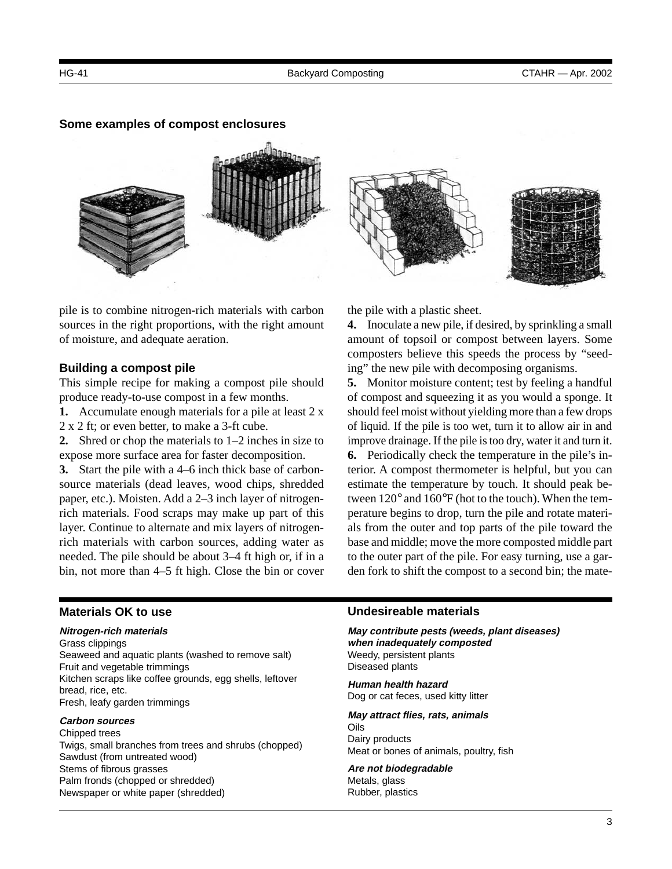#### **Some examples of compost enclosures**



pile is to combine nitrogen-rich materials with carbon sources in the right proportions, with the right amount of moisture, and adequate aeration.

#### **Building a compost pile**

This simple recipe for making a compost pile should produce ready-to-use compost in a few months.

**1.** Accumulate enough materials for a pile at least 2 x 2 x 2 ft; or even better, to make a 3-ft cube.

**2.** Shred or chop the materials to 1–2 inches in size to expose more surface area for faster decomposition.

**3.** Start the pile with a 4–6 inch thick base of carbonsource materials (dead leaves, wood chips, shredded paper, etc.). Moisten. Add a 2–3 inch layer of nitrogenrich materials. Food scraps may make up part of this layer. Continue to alternate and mix layers of nitrogenrich materials with carbon sources, adding water as needed. The pile should be about 3–4 ft high or, if in a bin, not more than 4–5 ft high. Close the bin or cover the pile with a plastic sheet.

**4.** Inoculate a new pile, if desired, by sprinkling a small amount of topsoil or compost between layers. Some composters believe this speeds the process by "seeding" the new pile with decomposing organisms.

**5.** Monitor moisture content; test by feeling a handful of compost and squeezing it as you would a sponge. It should feel moist without yielding more than a few drops of liquid. If the pile is too wet, turn it to allow air in and improve drainage. If the pile is too dry, water it and turn it. **6.** Periodically check the temperature in the pile's interior. A compost thermometer is helpful, but you can estimate the temperature by touch. It should peak between 120° and 160°F (hot to the touch). When the temperature begins to drop, turn the pile and rotate materials from the outer and top parts of the pile toward the base and middle; move the more composted middle part to the outer part of the pile. For easy turning, use a garden fork to shift the compost to a second bin; the mate-

#### **Materials OK to use**

#### **Nitrogen-rich materials**

Grass clippings Seaweed and aquatic plants (washed to remove salt) Fruit and vegetable trimmings Kitchen scraps like coffee grounds, egg shells, leftover bread, rice, etc. Fresh, leafy garden trimmings

#### **Carbon sources**

Chipped trees Twigs, small branches from trees and shrubs (chopped) Sawdust (from untreated wood) Stems of fibrous grasses Palm fronds (chopped or shredded) Newspaper or white paper (shredded)

#### **Undesireable materials**

**May contribute pests (weeds, plant diseases) when inadequately composted**  Weedy, persistent plants Diseased plants

**Human health hazard**  Dog or cat feces, used kitty litter

**May attract flies, rats, animals**  Oils Dairy products

Meat or bones of animals, poultry, fish

## **Are not biodegradable**

Metals, glass Rubber, plastics